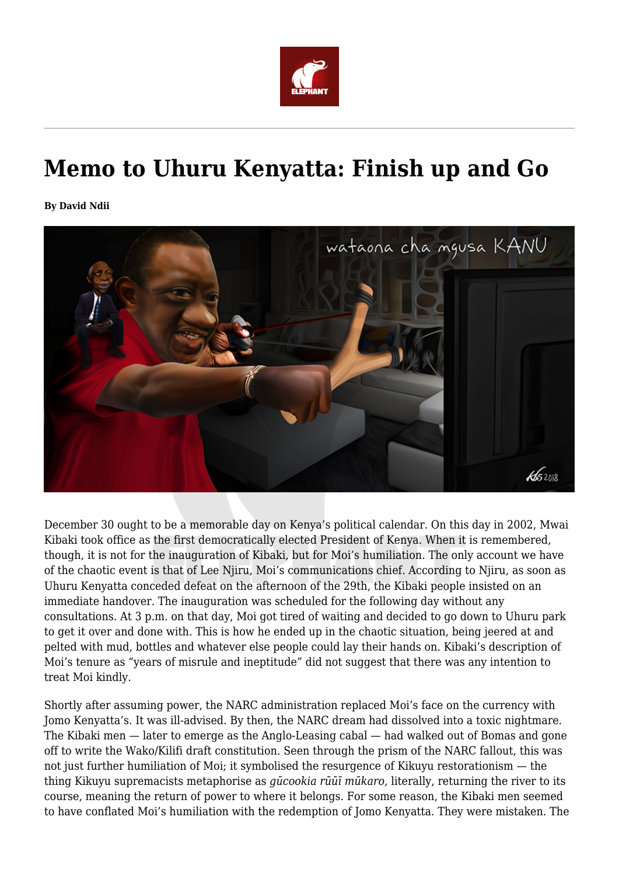

## **Memo to Uhuru Kenyatta: Finish up and Go**

**By David Ndii**



December 30 ought to be a memorable day on Kenya's political calendar. On this day in 2002, Mwai Kibaki took office as the first democratically elected President of Kenya. When it is remembered, though, it is not for the inauguration of Kibaki, but for Moi's humiliation. The only account we have of the chaotic event is that of Lee Njiru, Moi's communications chief. According to Njiru, as soon as Uhuru Kenyatta conceded defeat on the afternoon of the 29th, the Kibaki people insisted on an immediate handover. The inauguration was scheduled for the following day without any consultations. At 3 p.m. on that day, Moi got tired of waiting and decided to go down to Uhuru park to get it over and done with. This is how he ended up in the chaotic situation, being jeered at and pelted with mud, bottles and whatever else people could lay their hands on. Kibaki's description of Moi's tenure as "years of misrule and ineptitude" did not suggest that there was any intention to treat Moi kindly.

Shortly after assuming power, the NARC administration replaced Moi's face on the currency with Jomo Kenyatta's. It was ill-advised. By then, the NARC dream had dissolved into a toxic nightmare. The Kibaki men — later to emerge as the Anglo-Leasing cabal — had walked out of Bomas and gone off to write the Wako/Kilifi draft constitution. Seen through the prism of the NARC fallout, this was not just further humiliation of Moi; it symbolised the resurgence of Kikuyu restorationism — the thing Kikuyu supremacists metaphorise as *gūcookia rūūī mūkaro,* literally, returning the river to its course, meaning the return of power to where it belongs. For some reason, the Kibaki men seemed to have conflated Moi's humiliation with the redemption of Jomo Kenyatta. They were mistaken. The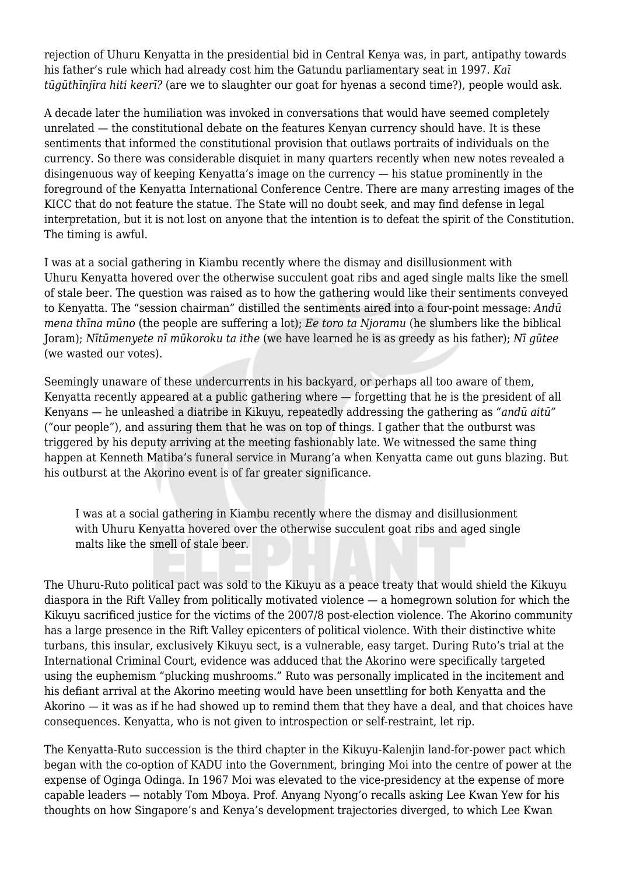rejection of Uhuru Kenyatta in the presidential bid in Central Kenya was, in part, antipathy towards his father's rule which had already cost him the Gatundu parliamentary seat in 1997. *Kaī tūgūthīnjīra hiti keerī?* (are we to slaughter our goat for hyenas a second time?), people would ask.

A decade later the humiliation was invoked in conversations that would have seemed completely unrelated — the constitutional debate on the features Kenyan currency should have. It is these sentiments that informed the constitutional provision that outlaws portraits of individuals on the currency. So there was considerable disquiet in many quarters recently when new notes revealed a disingenuous way of keeping Kenyatta's image on the currency — his statue prominently in the foreground of the Kenyatta International Conference Centre. There are many arresting images of the KICC that do not feature the statue. The State will no doubt seek, and may find defense in legal interpretation, but it is not lost on anyone that the intention is to defeat the spirit of the Constitution. The timing is awful.

I was at a social gathering in Kiambu recently where the dismay and disillusionment with Uhuru Kenyatta hovered over the otherwise succulent goat ribs and aged single malts like the smell of stale beer. The question was raised as to how the gathering would like their sentiments conveyed to Kenyatta. The "session chairman" distilled the sentiments aired into a four-point message: *Andū mena thīna mūno* (the people are suffering a lot); *Ee toro ta Njoramu* (he slumbers like the biblical Joram); *Nītūmenyete nī mūkoroku ta ithe* (we have learned he is as greedy as his father); *Nī gūtee* (we wasted our votes).

Seemingly unaware of these undercurrents in his backyard, or perhaps all too aware of them, Kenyatta recently appeared at a public gathering where — forgetting that he is the president of all Kenyans — he unleashed a diatribe in Kikuyu, repeatedly addressing the gathering as *"andū aitū"* ("our people"), and assuring them that he was on top of things. I gather that the outburst was triggered by his deputy arriving at the meeting fashionably late. We witnessed the same thing happen at Kenneth Matiba's funeral service in Murang'a when Kenyatta came out guns blazing. But his outburst at the Akorino event is of far greater significance.

I was at a social gathering in Kiambu recently where the dismay and disillusionment with Uhuru Kenyatta hovered over the otherwise succulent goat ribs and aged single malts like the smell of stale beer.

The Uhuru-Ruto political pact was sold to the Kikuyu as a peace treaty that would shield the Kikuyu diaspora in the Rift Valley from politically motivated violence — a homegrown solution for which the Kikuyu sacrificed justice for the victims of the 2007/8 post-election violence. The Akorino community has a large presence in the Rift Valley epicenters of political violence. With their distinctive white turbans, this insular, exclusively Kikuyu sect, is a vulnerable, easy target. During Ruto's trial at the International Criminal Court, evidence was adduced that the Akorino were specifically targeted using the euphemism "plucking mushrooms." Ruto was personally implicated in the incitement and his defiant arrival at the Akorino meeting would have been unsettling for both Kenyatta and the Akorino — it was as if he had showed up to remind them that they have a deal, and that choices have consequences. Kenyatta, who is not given to introspection or self-restraint, let rip.

The Kenyatta-Ruto succession is the third chapter in the Kikuyu-Kalenjin land-for-power pact which began with the co-option of KADU into the Government, bringing Moi into the centre of power at the expense of Oginga Odinga. In 1967 Moi was elevated to the vice-presidency at the expense of more capable leaders — notably Tom Mboya. Prof. Anyang Nyong'o recalls asking Lee Kwan Yew for his thoughts on how Singapore's and Kenya's development trajectories diverged, to which Lee Kwan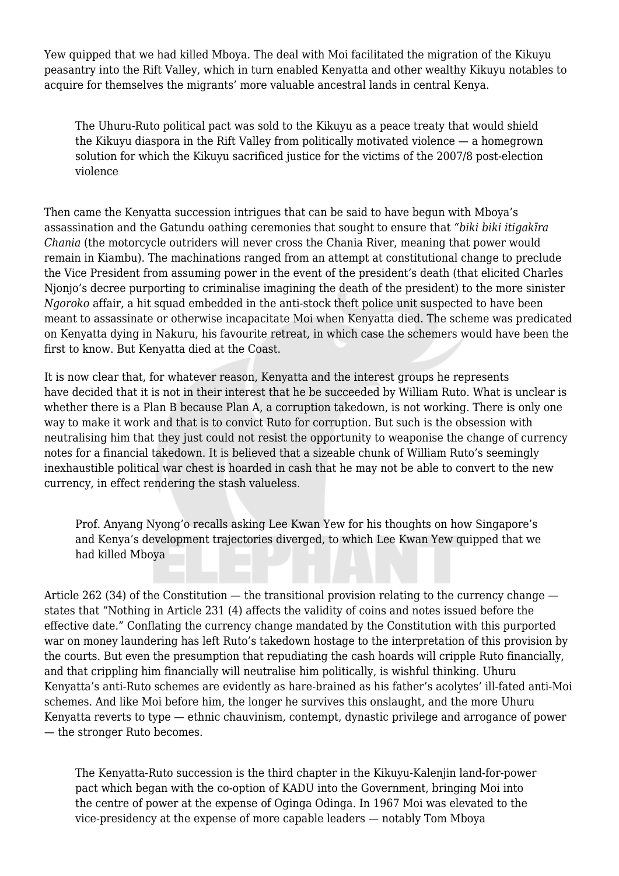Yew quipped that we had killed Mboya. The deal with Moi facilitated the migration of the Kikuyu peasantry into the Rift Valley, which in turn enabled Kenyatta and other wealthy Kikuyu notables to acquire for themselves the migrants' more valuable ancestral lands in central Kenya.

The Uhuru-Ruto political pact was sold to the Kikuyu as a peace treaty that would shield the Kikuyu diaspora in the Rift Valley from politically motivated violence — a homegrown solution for which the Kikuyu sacrificed justice for the victims of the 2007/8 post-election violence

Then came the Kenyatta succession intrigues that can be said to have begun with Mboya's assassination and the Gatundu oathing ceremonies that sought to ensure that *"biki biki itigakīra Chania* (the motorcycle outriders will never cross the Chania River, meaning that power would remain in Kiambu). The machinations ranged from an attempt at constitutional change to preclude the Vice President from assuming power in the event of the president's death (that elicited Charles Njonjo's decree purporting to criminalise imagining the death of the president) to the more sinister *Ngoroko* affair, a hit squad embedded in the anti-stock theft police unit suspected to have been meant to assassinate or otherwise incapacitate Moi when Kenyatta died. The scheme was predicated on Kenyatta dying in Nakuru, his favourite retreat, in which case the schemers would have been the first to know. But Kenyatta died at the Coast.

It is now clear that, for whatever reason, Kenyatta and the interest groups he represents have decided that it is not in their interest that he be succeeded by William Ruto. What is unclear is whether there is a Plan B because Plan A, a corruption takedown, is not working. There is only one way to make it work and that is to convict Ruto for corruption. But such is the obsession with neutralising him that they just could not resist the opportunity to weaponise the change of currency notes for a financial takedown. It is believed that a sizeable chunk of William Ruto's seemingly inexhaustible political war chest is hoarded in cash that he may not be able to convert to the new currency, in effect rendering the stash valueless.

Prof. Anyang Nyong'o recalls asking Lee Kwan Yew for his thoughts on how Singapore's and Kenya's development trajectories diverged, to which Lee Kwan Yew quipped that we had killed Mboya

Article 262 (34) of the Constitution — the transitional provision relating to the currency change states that "Nothing in Article 231 (4) affects the validity of coins and notes issued before the effective date." Conflating the currency change mandated by the Constitution with this purported war on money laundering has left Ruto's takedown hostage to the interpretation of this provision by the courts. But even the presumption that repudiating the cash hoards will cripple Ruto financially, and that crippling him financially will neutralise him politically, is wishful thinking. Uhuru Kenyatta's anti-Ruto schemes are evidently as hare-brained as his father's acolytes' ill-fated anti-Moi schemes. And like Moi before him, the longer he survives this onslaught, and the more Uhuru Kenyatta reverts to type — ethnic chauvinism, contempt, dynastic privilege and arrogance of power — the stronger Ruto becomes.

The Kenyatta-Ruto succession is the third chapter in the Kikuyu-Kalenjin land-for-power pact which began with the co-option of KADU into the Government, bringing Moi into the centre of power at the expense of Oginga Odinga. In 1967 Moi was elevated to the vice-presidency at the expense of more capable leaders — notably Tom Mboya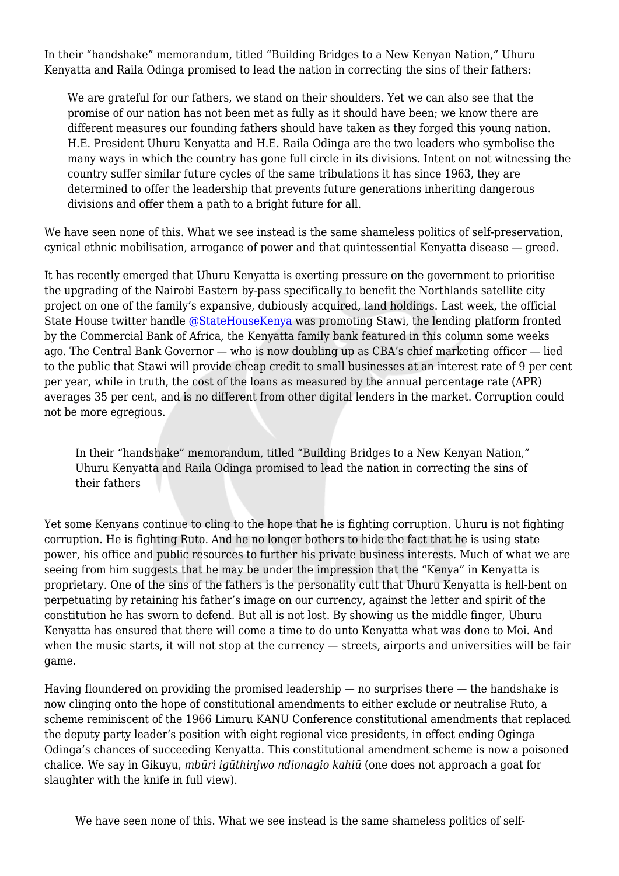In their "handshake" memorandum, titled "Building Bridges to a New Kenyan Nation," Uhuru Kenyatta and Raila Odinga promised to lead the nation in correcting the sins of their fathers:

We are grateful for our fathers, we stand on their shoulders. Yet we can also see that the promise of our nation has not been met as fully as it should have been; we know there are different measures our founding fathers should have taken as they forged this young nation. H.E. President Uhuru Kenyatta and H.E. Raila Odinga are the two leaders who symbolise the many ways in which the country has gone full circle in its divisions. Intent on not witnessing the country suffer similar future cycles of the same tribulations it has since 1963, they are determined to offer the leadership that prevents future generations inheriting dangerous divisions and offer them a path to a bright future for all.

We have seen none of this. What we see instead is the same shameless politics of self-preservation, cynical ethnic mobilisation, arrogance of power and that quintessential Kenyatta disease — greed.

It has recently emerged that Uhuru Kenyatta is exerting pressure on the government to prioritise the upgrading of the Nairobi Eastern by-pass specifically to benefit the Northlands satellite city project on one of the family's expansive, dubiously acquired, land holdings. Last week, the official State House twitter handle [@StateHouseKenya](https://twitter.com/StateHouseKenya) was promoting Stawi, the lending platform fronted by the Commercial Bank of Africa, the Kenyatta family bank featured in this column some weeks ago. The Central Bank Governor — who is now doubling up as CBA's chief marketing officer — lied to the public that Stawi will provide cheap credit to small businesses at an interest rate of 9 per cent per year, while in truth, the cost of the loans as measured by the annual percentage rate (APR) averages 35 per cent, and is no different from other digital lenders in the market. Corruption could not be more egregious.

In their "handshake" memorandum, titled "Building Bridges to a New Kenyan Nation," Uhuru Kenyatta and Raila Odinga promised to lead the nation in correcting the sins of their fathers

Yet some Kenyans continue to cling to the hope that he is fighting corruption. Uhuru is not fighting corruption. He is fighting Ruto. And he no longer bothers to hide the fact that he is using state power, his office and public resources to further his private business interests. Much of what we are seeing from him suggests that he may be under the impression that the "Kenya" in Kenyatta is proprietary. One of the sins of the fathers is the personality cult that Uhuru Kenyatta is hell-bent on perpetuating by retaining his father's image on our currency, against the letter and spirit of the constitution he has sworn to defend. But all is not lost. By showing us the middle finger, Uhuru Kenyatta has ensured that there will come a time to do unto Kenyatta what was done to Moi. And when the music starts, it will not stop at the currency — streets, airports and universities will be fair game.

Having floundered on providing the promised leadership  $-$  no surprises there  $-$  the handshake is now clinging onto the hope of constitutional amendments to either exclude or neutralise Ruto, a scheme reminiscent of the 1966 Limuru KANU Conference constitutional amendments that replaced the deputy party leader's position with eight regional vice presidents, in effect ending Oginga Odinga's chances of succeeding Kenyatta. This constitutional amendment scheme is now a poisoned chalice. We say in Gikuyu, *mbūri igūthinjwo ndionagio kahiū* (one does not approach a goat for slaughter with the knife in full view).

We have seen none of this. What we see instead is the same shameless politics of self-